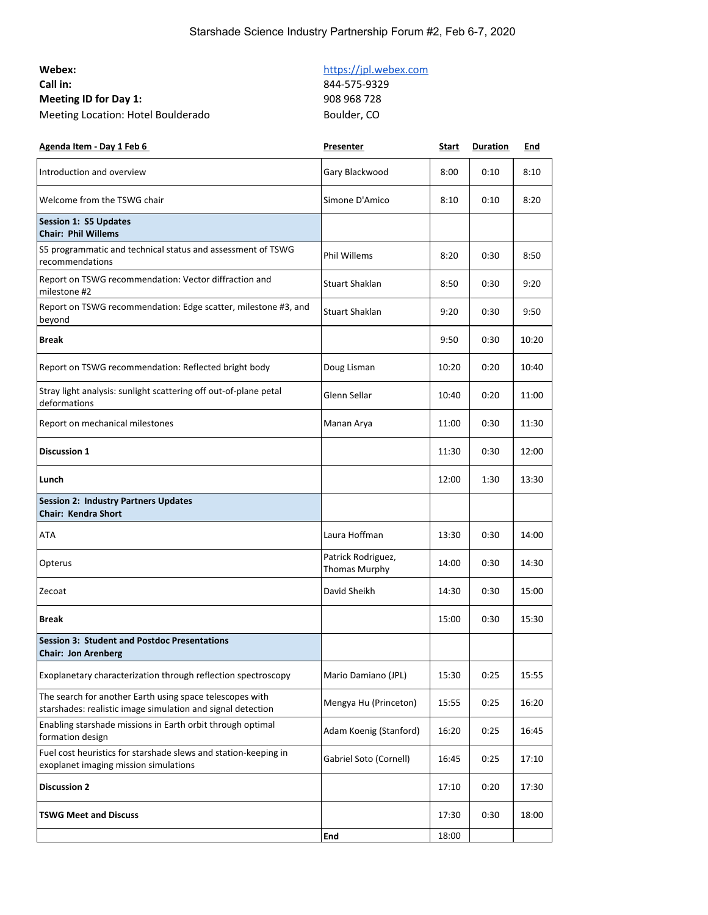### Starshade Science Industry Partnership Forum #2, Feb 6-7, 2020

| Webex:                             |
|------------------------------------|
| Call in:                           |
| <b>Meeting ID for Day 1:</b>       |
| Meeting Location: Hotel Boulderado |

## [https://jpl.webex.com](https://jpl.webex.com/)

**Call in:** 844-575-9329 **Meeting ID for Day 1:** 908 968 728 Boulder, CO

| Agenda Item - Day 1 Feb 6                                                                                               | <b>Presenter</b>                           | <b>Start</b> | <b>Duration</b> | <u>End</u> |
|-------------------------------------------------------------------------------------------------------------------------|--------------------------------------------|--------------|-----------------|------------|
| Introduction and overview                                                                                               | Gary Blackwood                             | 8:00         | 0:10            | 8:10       |
| Welcome from the TSWG chair                                                                                             | Simone D'Amico                             | 8:10         | 0:10            | 8:20       |
| <b>Session 1: S5 Updates</b><br><b>Chair: Phil Willems</b>                                                              |                                            |              |                 |            |
| S5 programmatic and technical status and assessment of TSWG<br>recommendations                                          | <b>Phil Willems</b>                        | 8:20         | 0:30            | 8:50       |
| Report on TSWG recommendation: Vector diffraction and<br>milestone #2                                                   | <b>Stuart Shaklan</b>                      | 8:50         | 0:30            | 9:20       |
| Report on TSWG recommendation: Edge scatter, milestone #3, and<br>beyond                                                | <b>Stuart Shaklan</b>                      | 9:20         | 0:30            | 9:50       |
| <b>Break</b>                                                                                                            |                                            | 9:50         | 0:30            | 10:20      |
| Report on TSWG recommendation: Reflected bright body                                                                    | Doug Lisman                                | 10:20        | 0:20            | 10:40      |
| Stray light analysis: sunlight scattering off out-of-plane petal<br>deformations                                        | Glenn Sellar                               | 10:40        | 0:20            | 11:00      |
| Report on mechanical milestones                                                                                         | Manan Arya                                 | 11:00        | 0:30            | 11:30      |
| <b>Discussion 1</b>                                                                                                     |                                            | 11:30        | 0:30            | 12:00      |
| Lunch                                                                                                                   |                                            | 12:00        | 1:30            | 13:30      |
| <b>Session 2: Industry Partners Updates</b><br><b>Chair: Kendra Short</b>                                               |                                            |              |                 |            |
| ATA                                                                                                                     | Laura Hoffman                              | 13:30        | 0:30            | 14:00      |
| Opterus                                                                                                                 | Patrick Rodriguez,<br><b>Thomas Murphy</b> | 14:00        | 0:30            | 14:30      |
| Zecoat                                                                                                                  | David Sheikh                               | 14:30        | 0:30            | 15:00      |
| <b>Break</b>                                                                                                            |                                            | 15:00        | 0:30            | 15:30      |
| <b>Session 3: Student and Postdoc Presentations</b><br><b>Chair: Jon Arenberg</b>                                       |                                            |              |                 |            |
| Exoplanetary characterization through reflection spectroscopy                                                           | Mario Damiano (JPL)                        | 15:30        | 0:25            | 15:55      |
| The search for another Earth using space telescopes with<br>starshades: realistic image simulation and signal detection | Mengya Hu (Princeton)                      | 15:55        | 0:25            | 16:20      |
| Enabling starshade missions in Earth orbit through optimal<br>formation design                                          | Adam Koenig (Stanford)                     | 16:20        | 0:25            | 16:45      |
| Fuel cost heuristics for starshade slews and station-keeping in<br>exoplanet imaging mission simulations                | Gabriel Soto (Cornell)                     | 16:45        | 0:25            | 17:10      |
| <b>Discussion 2</b>                                                                                                     |                                            | 17:10        | 0:20            | 17:30      |
| <b>TSWG Meet and Discuss</b>                                                                                            |                                            | 17:30        | 0:30            | 18:00      |
|                                                                                                                         | End                                        | 18:00        |                 |            |